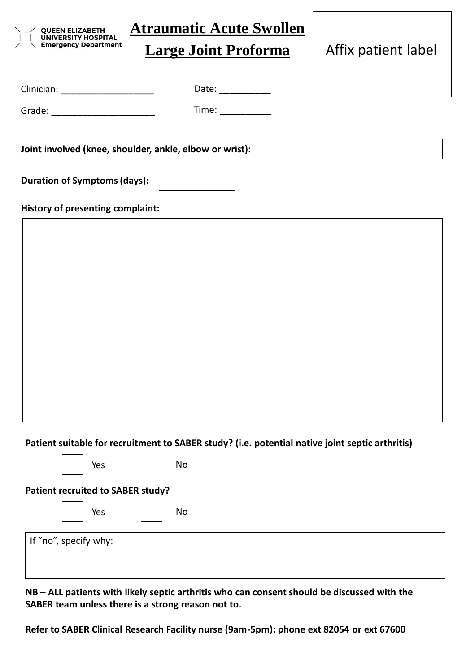

**Patient suitable for recruitment to SABER study? (i.e. potential native joint septic arthritis)**

| Patient recruited to SABER study? |  |  |  |  |
|-----------------------------------|--|--|--|--|
| No<br>Yes                         |  |  |  |  |
| If "no", specify why:             |  |  |  |  |

**NB – ALL patients with likely septic arthritis who can consent should be discussed with the SABER team unless there is a strong reason not to.** 

**Refer to SABER Clinical Research Facility nurse (9am-5pm): phone ext 82054 or ext 67600**